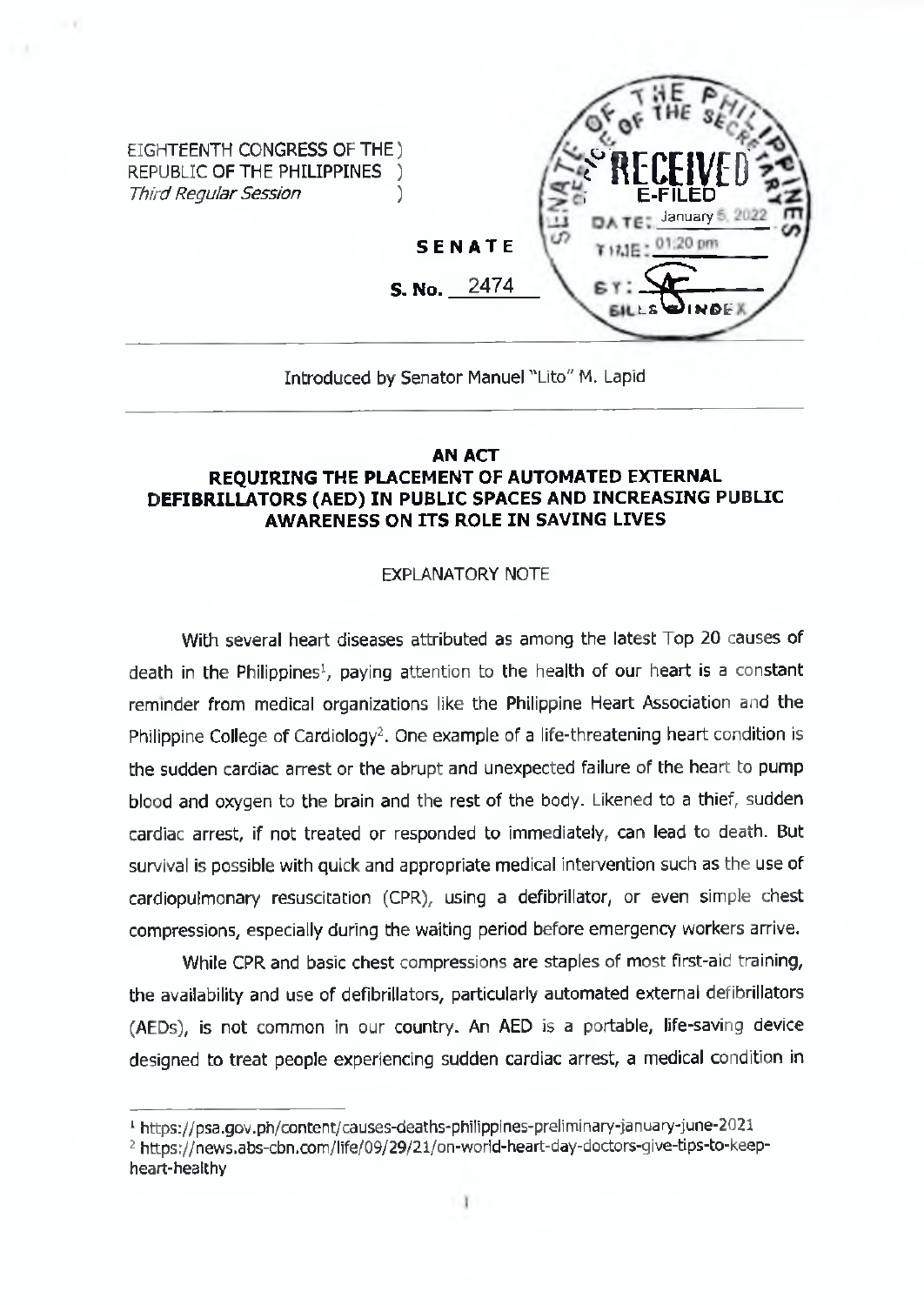

## Introduced by Senator Manuel "Lito" M. Lapid

## **AN ACT REQUIRING THE PLACEMENT OF AUTOMATED EXTERNAL DEFIBRILLATORS (AED) IN PUBLIC SPACES AND INCREASING PUBLIC AWARENESS ON ITS ROLE IN SAVING LIVES**

## EXPLANATORY NOTE

With several heart diseases attributed as among the latest Top 20 causes of death in the Philippines<sup>1</sup>, paying attention to the health of our heart is a constant reminder from medical organizations like the Philippine Heart Association and the Philippine College of Cardiology<sup>2</sup>. One example of a life-threatening heart condition is the sudden cardiac arrest or the abrupt and unexpected failure of the heart to pump blood and oxygen to the brain and the rest of the body. Likened to a thief, sudden cardiac arrest, if not treated or responded to immediately, can lead to death. But survival is possible with quick and appropriate medical intervention such as the use of cardiopulmonary resuscitation (CPR), using a defibrillator, or even simple chest compressions, especially during the waiting period before emergency workers arrive.

While CPR and basic chest compressions are staples of most first-aid training, the availability and use of defibrillators, particularly automated external defibrillators (AEDs), is not common in our country. An AED is a portable, life-saving device designed to treat people experiencing sudden cardiac arrest, a medical condition in

<sup>1</sup> <https://psa.gov.ph/content/causes-deaths-philippines-preliminary-january-iune-202i>

<sup>2</sup> [https://news.abs-cbn.com/life/09/29/21/on-worid-heart-day-doctors-give-tips-to-keep](https://news.abs-cbn.com/life/09/29/21/on-worid-heart-day-doctors-give-tips-to-keep-)heart-healthy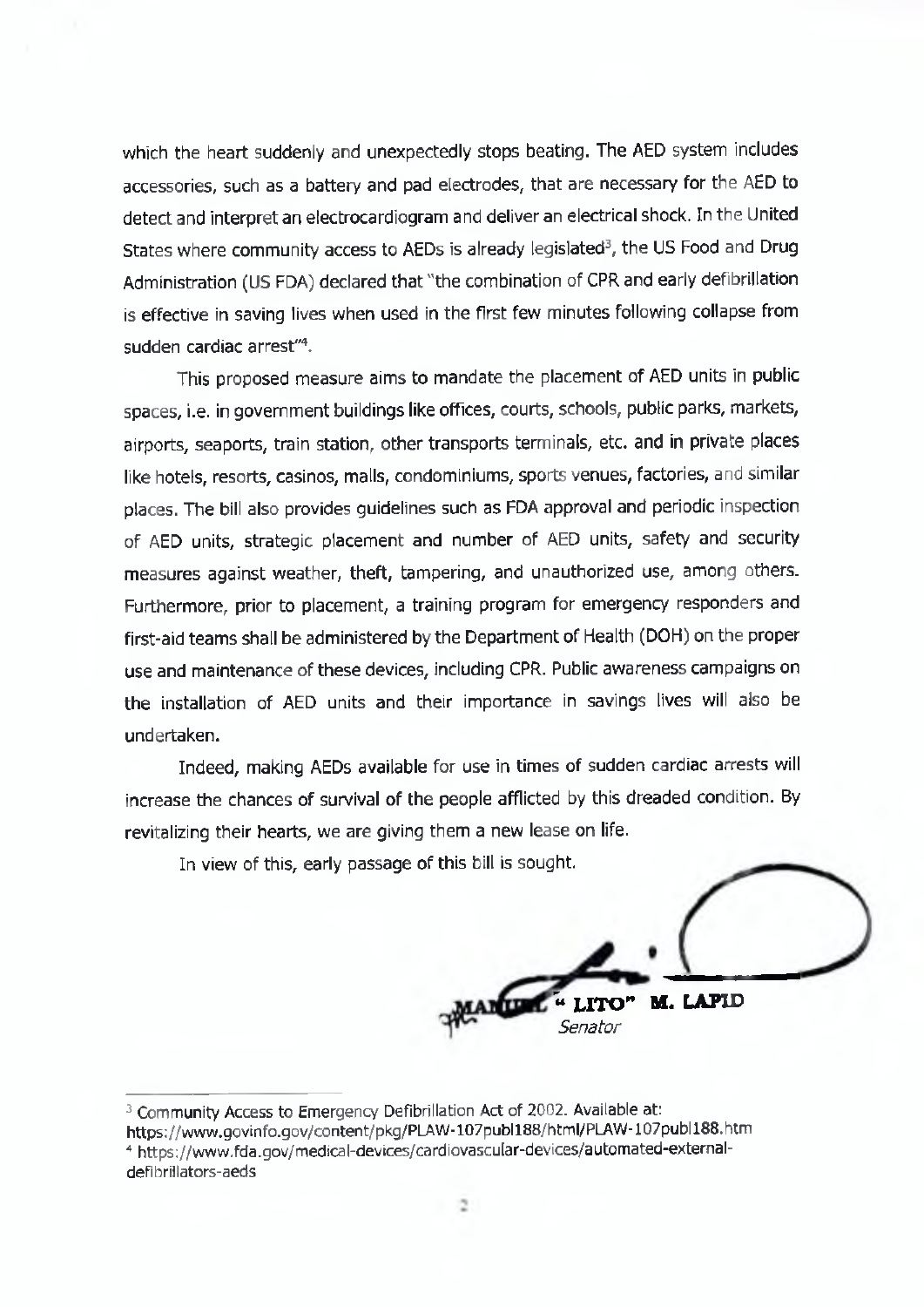which the heart suddenly and unexpectedly stops beating. The AED system includes accessories, such as a battery and pad electrodes, that are necessary for the AED to detect and interpret an electrocardiogram and deliver an electrical shock. In the United States where community access to AEDs is already legislated<sup>3</sup>, the US Food and Drug Administration (US FDA) declared that "the combination of CPR and early defibrillation is effective in saving lives when used in the first few minutes following collapse from sudden cardiac arrest"4.

This proposed measure aims to mandate the placement of AED units in public spaces, i.e. in government buildings like offices, courts, schools, public parks, markets, airports, seaports, train station, other transports terminals, etc. and in private places like hotels, resorts, casinos, malls, condominiums, sports venues, factories, and similar places. The bill also provides guidelines such as FDA approval and periodic inspection of AED units, strategic placement and number of AED units, safety and security measures against weather, theft, tampering, and unauthorized use, among others. Furthermore, prior to placement, a training program for emergency responders and first-aid teams shall be administered by the Department of Health (DOH) on the proper use and maintenance of these devices, including CPR. Public awareness campaigns on the installation of AED units and their importance in savings lives will also be undertaken.

Indeed, making AEDs available for use in times of sudden cardiac arrests will increase the chances of survival of the people afflicted by this dreaded condition. By revitalizing their hearts, we are giving them a new lease on life.

In view of this, early passage of this bill is sought.

**" LITO" M. LAPID** *Senator*

<sup>&</sup>lt;sup>3</sup> Community Access to Emergency Defibrillation Act of 2002. Available at:

<https://www.govinfo.gov/content/pkg/PLAW-107publl88/html/PLAW-107publl88.htm> <sup>4</sup> <https://www.fda.gov/medical-devices/cardiovascular-devices/automated-extemal->

defibriilators-aeds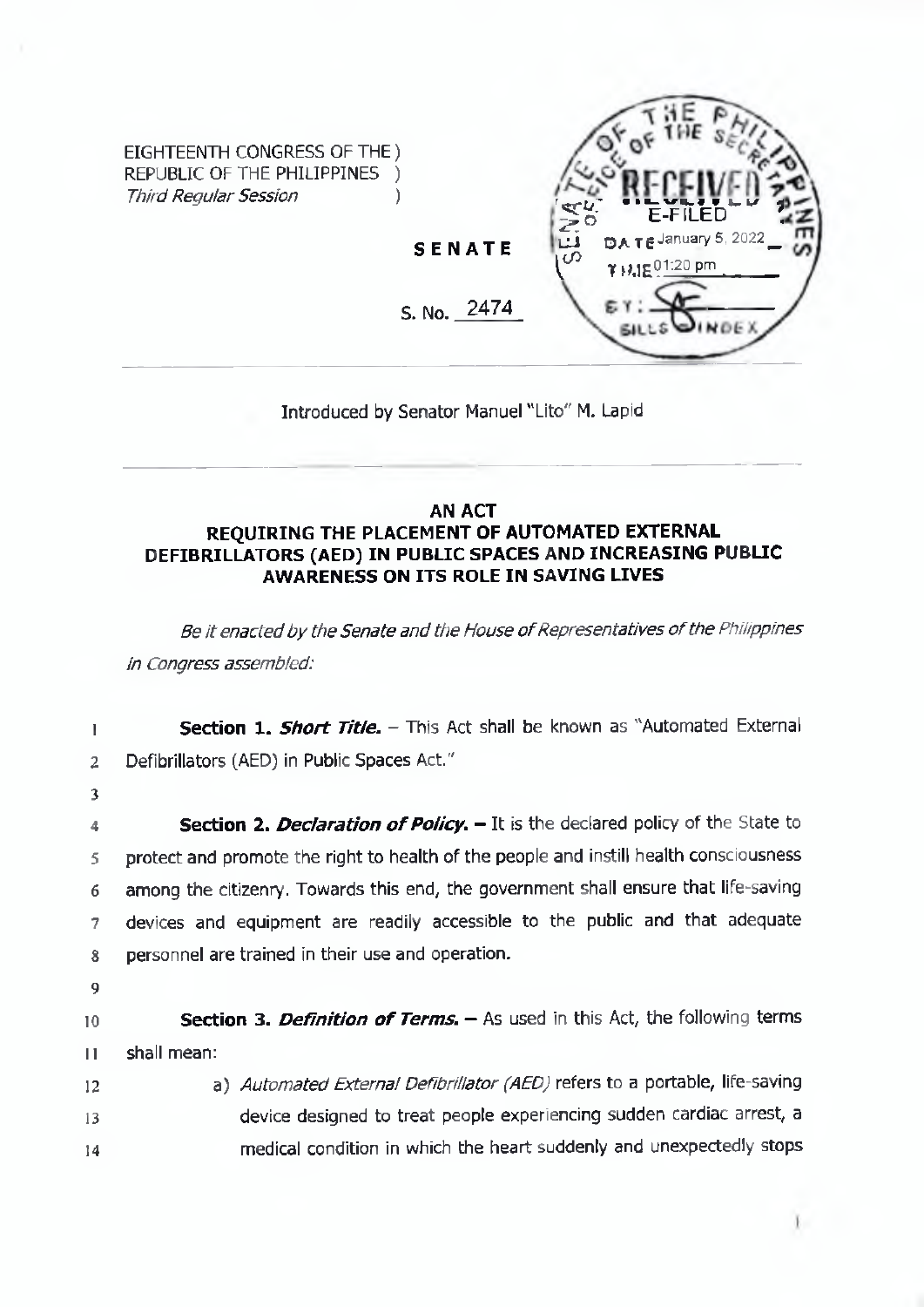

Introduced by Senator Manuel "LIto" M. Lapid

## **AN ACT REQUIRING THE PLACEMENT OF AUTOMATED EXTERNAL DEFIBRILLATORS (AED) IN PUBLIC SPACES AND INCREASING PUBUC AWARENESS ON ITS ROLE IN SAVING LIVES**

*Be itenactedby theSenate and the House ofRepresentatives ofthePhilippines in Congress assembled:*

1 2 3 4 **5** 6 7 S **9 10 n 12** 13 14 **Section 1.** *Short Title. -* This Act shall be known as "Automated External Defibrillators (AED) in Public Spaces Act." Section 2. *Declaration of Policy*. - It is the declared policy of the State to protect and promote the right to health of the people and instill health consciousness among the citizenry. Towards this end, the government shall ensure that life-saving devices and equipment are readily accessible to the public and that adequate personnel are trained in their use and operation. **Section 3.** *Definition of Terms.* - As used in this Act, the following terms shall mean: a) *Automated External Defibrillator (AED)* refers to a portable, life-saving device designed to treat people experiencing sudden cardiac arrest, a medical condition in which the heart suddenly and unexpectedly stops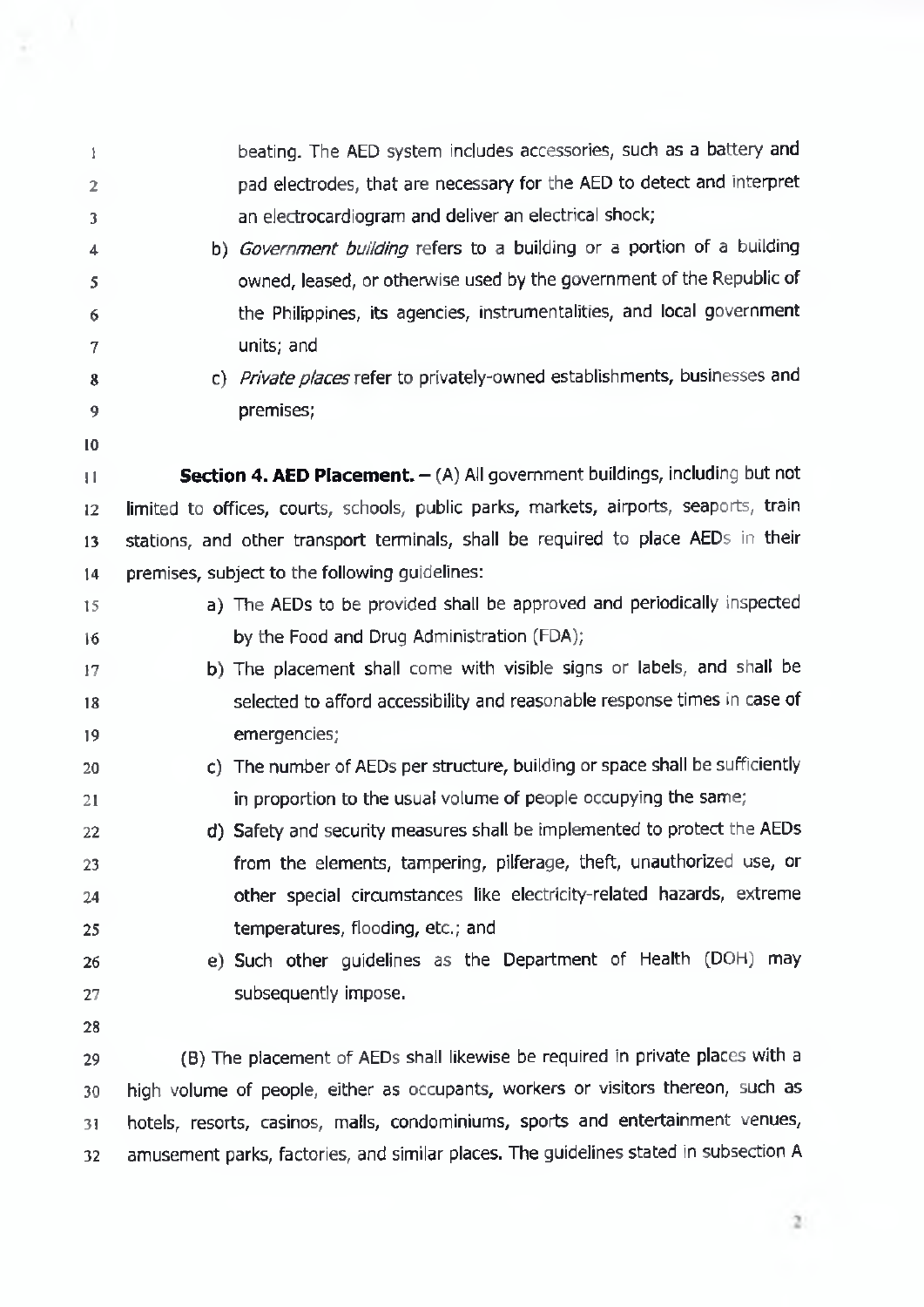| 1               | beating. The AED system includes accessories, such as a battery and                   |
|-----------------|---------------------------------------------------------------------------------------|
| 2               | pad electrodes, that are necessary for the AED to detect and interpret                |
| 3               | an electrocardiogram and deliver an electrical shock;                                 |
| 4               | b) Government building refers to a building or a portion of a building                |
| 5               | owned, leased, or otherwise used by the government of the Republic of                 |
| 6               | the Philippines, its agencies, instrumentalities, and local government                |
| 7               | units; and                                                                            |
| 8               | c) Private places refer to privately-owned establishments, businesses and             |
| 9               | premises;                                                                             |
| 10              |                                                                                       |
| П               | Section 4. AED Placement. - (A) All government buildings, including but not           |
| 12              | limited to offices, courts, schools, public parks, markets, airports, seaports, train |
| 13              | stations, and other transport terminals, shall be required to place AEDs in their     |
| 14              | premises, subject to the following guidelines:                                        |
| 15              | a) The AEDs to be provided shall be approved and periodically inspected               |
| 16              | by the Food and Drug Administration (FDA);                                            |
| 17              | b) The placement shall come with visible signs or labels, and shall be                |
| 18              | selected to afford accessibility and reasonable response times in case of             |
| 19              | emergencies;                                                                          |
| 20              | c) The number of AEDs per structure, building or space shall be sufficiently          |
| 21              | in proportion to the usual volume of people occupying the same;                       |
| 22              | d) Safety and security measures shall be implemented to protect the AEDs              |
| 23              | from the elements, tampering, pilferage, theft, unauthorized use, or                  |
| 24              | other special circumstances like electricity-related hazards, extreme                 |
| 25              | temperatures, flooding, etc.; and                                                     |
| 26              | e) Such other guidelines as the Department of Health (DOH) may                        |
| 27              | subsequently impose.                                                                  |
| 28              |                                                                                       |
| 29              | (B) The placement of AEDs shall likewise be required in private places with a         |
| 30              | high volume of people, either as occupants, workers or visitors thereon, such as      |
| 31              | hotels, resorts, casinos, malls, condominiums, sports and entertainment venues,       |
| 32 <sub>2</sub> | amusement parks, factories, and similar places. The guidelines stated in subsection A |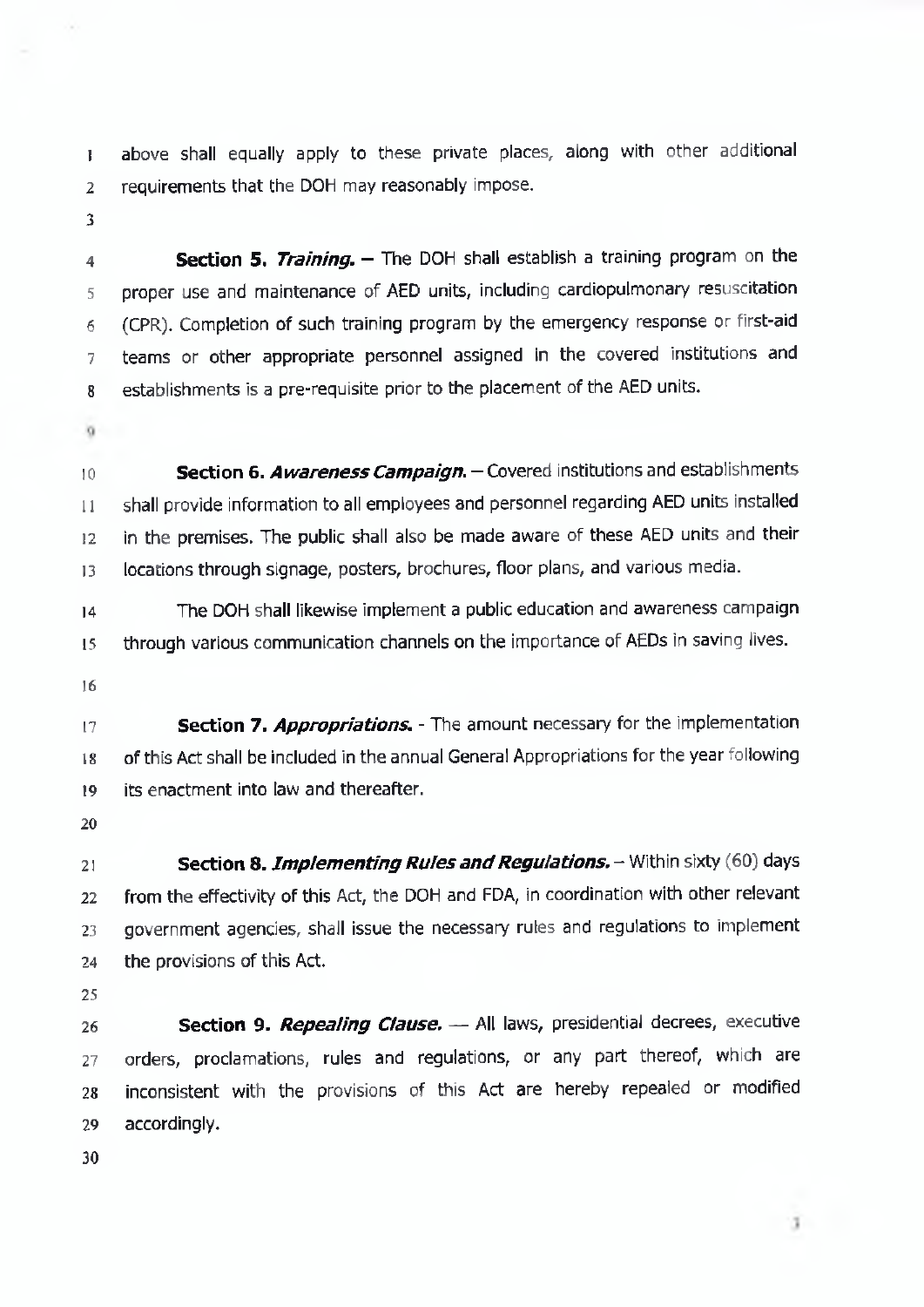above shall equally apply to these private places, along with other additional 2 requirements that the DOH may reasonably impose.

 **Section 5.** *Training. -* The DOH shall establish <sup>a</sup> training program on the proper use and maintenance of AED units, including cardiopulmonary resuscitation (CPR). Completion of such training program by the emergency response or first-aid teams or other appropriate personnel assigned in the covered institutions and establishments is a pre-requisite prior to the placement of the AED units.

 **Section 6.** *Awareness Campaign.-*Covered institutions and establishments shall provide information to all employees and personnel regarding AED units installed in the premises. The public shall also be made aware of these AED units and their locations through signage, posters, brochures, floor plans, and various media.

 The DOH shall likewise implement a public education and awareness campaign through various communication channels on the importance of AEDs in saving lives.

 **Section 7.** *Appropriations. -* The amount necessary for the implementation of this Act shall be included in the annual General Appropriations for the year following its enactment into law and thereafter.

 **Section 8.** *Implementing Rules and Regulations.* – Within sixty (60) days from the effectivity of this Act, the DOH and FDA, in coordination with other relevant government agencies, shall issue the necessary rules and regulations to implement the provisions of this Act.

 **Section 9.** *Repealing Clause.* — All laws, presidential decrees, executive orders, proclamations, rules and regulations, or any part thereof, which are inconsistent with the provisions of this Act are hereby repealed or modified accordingly.